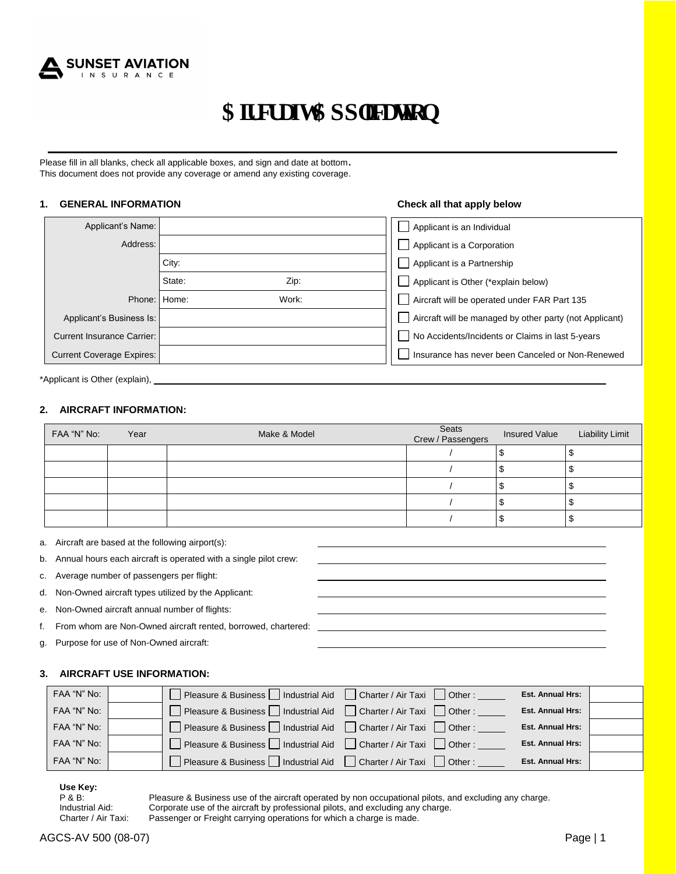

# ${\bf C}$  **K** et chv  ${\bf C}$ r r r kec vkqp

Please fill in all blanks, check all applicable boxes, and sign and date at bottom. This document does not provide any coverage or amend any existing coverage.

#### **1. GENERAL INFORMATION Check all that apply below**

| Applicant's Name:                |                | $\perp$      | Applicant is an Individual                              |
|----------------------------------|----------------|--------------|---------------------------------------------------------|
| Address:                         |                |              | Applicant is a Corporation                              |
|                                  | City:          | $\Box$       | Applicant is a Partnership                              |
|                                  | State:<br>Zip: |              | Applicant is Other (*explain below)                     |
| Phone:                           | Work:<br>Home: | $\Box$       | Aircraft will be operated under FAR Part 135            |
| Applicant's Business Is:         |                | $\mathsf{I}$ | Aircraft will be managed by other party (not Applicant) |
| Current Insurance Carrier:       |                |              | No Accidents/Incidents or Claims in last 5-years        |
| <b>Current Coverage Expires:</b> |                |              | Insurance has never been Canceled or Non-Renewed        |

\*Applicant is Other (explain),

#### **2. AIRCRAFT INFORMATION:**

| FAA "N" No: | Year | Make & Model | Seats<br>Crew / Passengers | <b>Insured Value</b> | <b>Liability Limit</b> |
|-------------|------|--------------|----------------------------|----------------------|------------------------|
|             |      |              |                            |                      |                        |
|             |      |              |                            |                      |                        |
|             |      |              |                            |                      |                        |
|             |      |              |                            |                      |                        |
|             |      |              |                            |                      |                        |

- a. Aircraft are based at the following airport(s):
- b. Annual hours each aircraft is operated with a single pilot crew:
- c. Average number of passengers per flight:
- d. Non-Owned aircraft types utilized by the Applicant:
- e. Non-Owned aircraft annual number of flights:
- f. From whom are Non-Owned aircraft rented, borrowed, chartered:
- g. Purpose for use of Non-Owned aircraft:

#### **3. AIRCRAFT USE INFORMATION:**

| FAA "N" No: | □ Pleasure & Business □ Industrial Aid □ Charter / Air Taxi □ Other : _            | <b>Est. Annual Hrs:</b> |
|-------------|------------------------------------------------------------------------------------|-------------------------|
| FAA "N" No: | □ Pleasure & Business □ Industrial Aid □ Charter / Air Taxi □ Other : _            | <b>Est. Annual Hrs:</b> |
| FAA "N" No: | □ Pleasure & Business □ Industrial Aid □ Charter / Air Taxi □ Other :              | <b>Est. Annual Hrs:</b> |
| FAA "N" No: | Pleasure & Business $\Box$ Industrial Aid $\Box$ Charter / Air Taxi $\Box$ Other : | <b>Est. Annual Hrs:</b> |
| FAA "N" No: | Pleasure & Business $\Box$ Industrial Aid $\Box$ Charter / Air Taxi $\Box$ Other : | <b>Est. Annual Hrs:</b> |

**Use Key:**

P & B: Pleasure & Business use of the aircraft operated by non occupational pilots, and excluding any charge.<br>
Industrial Aid: Corporate use of the aircraft by professional pilots, and excluding any charge. Corporate use of the aircraft by professional pilots, and excluding any charge. Charter / Air Taxi: Passenger or Freight carrying operations for which a charge is made.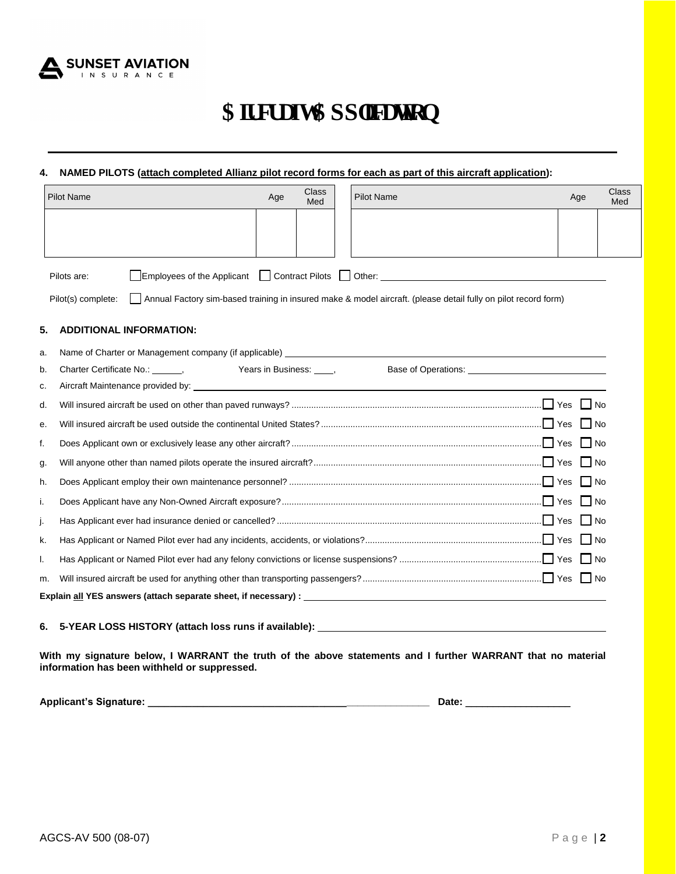

# $C$ **k** et chv  $C$ **r** r r dec vkqp

### **4. NAMED PILOTS (attach completed Allianz pilot record forms for each as part of this aircraft application):**

|    | <b>Pilot Name</b>                                                                                                                                           | Age | <b>Class</b><br>Med   |  | <b>Pilot Name</b>                                                                                                                                                                                                                                                                                                                                |  | <b>Class</b><br>Age<br>Med |
|----|-------------------------------------------------------------------------------------------------------------------------------------------------------------|-----|-----------------------|--|--------------------------------------------------------------------------------------------------------------------------------------------------------------------------------------------------------------------------------------------------------------------------------------------------------------------------------------------------|--|----------------------------|
|    |                                                                                                                                                             |     |                       |  |                                                                                                                                                                                                                                                                                                                                                  |  |                            |
|    | Employees of the Applicant   Contract Pilots  <br>Pilots are:<br>Pilot(s) complete:                                                                         |     |                       |  | Other: the contract of the contract of the contract of the contract of the contract of the contract of the contract of the contract of the contract of the contract of the contract of the contract of the contract of the con<br>Annual Factory sim-based training in insured make & model aircraft. (please detail fully on pilot record form) |  |                            |
| 5. | <b>ADDITIONAL INFORMATION:</b>                                                                                                                              |     |                       |  |                                                                                                                                                                                                                                                                                                                                                  |  |                            |
| a. | Name of Charter or Management company (if applicable) example and the control of Charter or Management company (if applicable)                              |     |                       |  |                                                                                                                                                                                                                                                                                                                                                  |  |                            |
| b. | Charter Certificate No.: ,                                                                                                                                  |     | Years in Business: 1, |  | Base of Operations: The Second Second Second Second Second Second Second Second Second Second Second Second Second Second Second Second Second Second Second Second Second Second Second Second Second Second Second Second Se                                                                                                                   |  |                            |
| c. | Aircraft Maintenance provided by:                                                                                                                           |     |                       |  |                                                                                                                                                                                                                                                                                                                                                  |  |                            |
| d. |                                                                                                                                                             |     |                       |  |                                                                                                                                                                                                                                                                                                                                                  |  |                            |
| е. |                                                                                                                                                             |     |                       |  |                                                                                                                                                                                                                                                                                                                                                  |  |                            |
| f. |                                                                                                                                                             |     |                       |  |                                                                                                                                                                                                                                                                                                                                                  |  |                            |
| g. |                                                                                                                                                             |     |                       |  |                                                                                                                                                                                                                                                                                                                                                  |  | l No                       |
| h. |                                                                                                                                                             |     |                       |  |                                                                                                                                                                                                                                                                                                                                                  |  | $\Box$ No                  |
| i. |                                                                                                                                                             |     |                       |  |                                                                                                                                                                                                                                                                                                                                                  |  |                            |
| j. |                                                                                                                                                             |     |                       |  |                                                                                                                                                                                                                                                                                                                                                  |  |                            |
| k. |                                                                                                                                                             |     |                       |  |                                                                                                                                                                                                                                                                                                                                                  |  |                            |
| I. |                                                                                                                                                             |     |                       |  |                                                                                                                                                                                                                                                                                                                                                  |  |                            |
| m. |                                                                                                                                                             |     |                       |  |                                                                                                                                                                                                                                                                                                                                                  |  |                            |
|    |                                                                                                                                                             |     |                       |  |                                                                                                                                                                                                                                                                                                                                                  |  |                            |
| 6. | 5-YEAR LOSS HISTORY (attach loss runs if available): ___________________________                                                                            |     |                       |  |                                                                                                                                                                                                                                                                                                                                                  |  |                            |
|    | With my signature below, I WARRANT the truth of the above statements and I further WARRANT that no material<br>information has been withheld or suppressed. |     |                       |  |                                                                                                                                                                                                                                                                                                                                                  |  |                            |

**Applicant's Signature: \_\_\_\_\_\_\_\_\_\_\_\_\_\_\_\_\_\_\_\_\_\_\_\_\_\_\_\_\_\_\_\_\_\_\_\_\_\_\_\_\_\_\_\_\_\_\_\_\_\_\_ Date:** \_\_\_\_\_\_\_\_\_\_\_\_\_\_\_\_\_\_\_